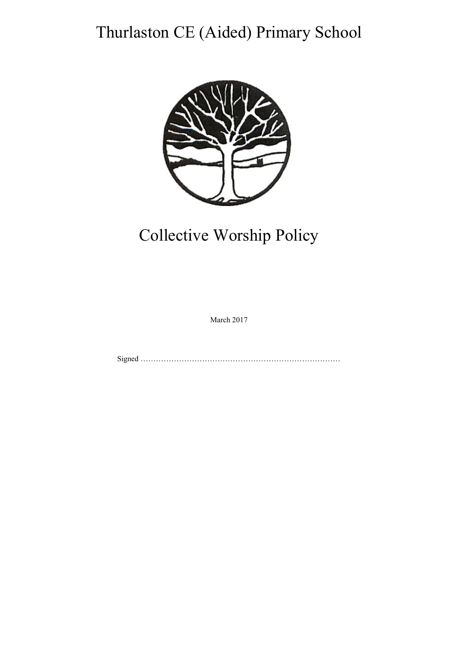# Thurlaston CE (Aided) Primary School



# Collective Worship Policy

March 2017

Signed ……………………………………………………………………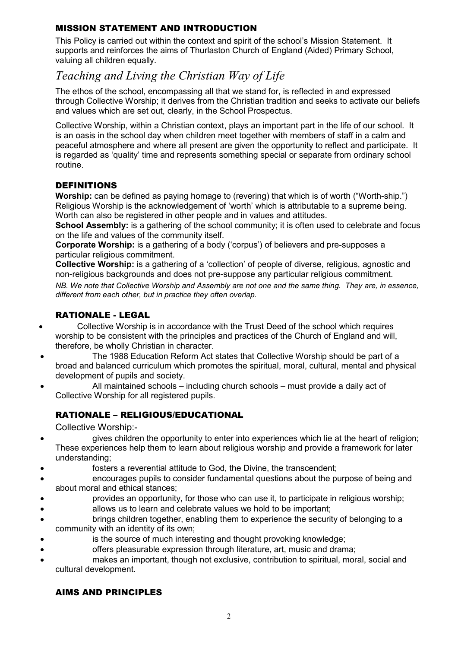# MISSION STATEMENT AND INTRODUCTION

This Policy is carried out within the context and spirit of the school's Mission Statement. It supports and reinforces the aims of Thurlaston Church of England (Aided) Primary School, valuing all children equally.

# *Teaching and Living the Christian Way of Life*

The ethos of the school, encompassing all that we stand for, is reflected in and expressed through Collective Worship; it derives from the Christian tradition and seeks to activate our beliefs and values which are set out, clearly, in the School Prospectus.

Collective Worship, within a Christian context, plays an important part in the life of our school. It is an oasis in the school day when children meet together with members of staff in a calm and peaceful atmosphere and where all present are given the opportunity to reflect and participate. It is regarded as 'quality' time and represents something special or separate from ordinary school routine.

# DEFINITIONS

**Worship:** can be defined as paying homage to (revering) that which is of worth ("Worth-ship.") Religious Worship is the acknowledgement of 'worth' which is attributable to a supreme being. Worth can also be registered in other people and in values and attitudes.

**School Assembly:** is a gathering of the school community; it is often used to celebrate and focus on the life and values of the community itself.

**Corporate Worship:** is a gathering of a body ('corpus') of believers and pre-supposes a particular religious commitment.

**Collective Worship:** is a gathering of a 'collection' of people of diverse, religious, agnostic and non-religious backgrounds and does not pre-suppose any particular religious commitment.

*NB. We note that Collective Worship and Assembly are not one and the same thing. They are, in essence, different from each other, but in practice they often overlap.* 

# RATIONALE - LEGAL

- Collective Worship is in accordance with the Trust Deed of the school which requires worship to be consistent with the principles and practices of the Church of England and will, therefore, be wholly Christian in character.
- The 1988 Education Reform Act states that Collective Worship should be part of a broad and balanced curriculum which promotes the spiritual, moral, cultural, mental and physical development of pupils and society.
- All maintained schools including church schools must provide a daily act of Collective Worship for all registered pupils.

# RATIONALE – RELIGIOUS/EDUCATIONAL

Collective Worship:-

- gives children the opportunity to enter into experiences which lie at the heart of religion; These experiences help them to learn about religious worship and provide a framework for later understanding;
- fosters a reverential attitude to God, the Divine, the transcendent;
- encourages pupils to consider fundamental questions about the purpose of being and about moral and ethical stances;
- provides an opportunity, for those who can use it, to participate in religious worship;
- allows us to learn and celebrate values we hold to be important;
- brings children together, enabling them to experience the security of belonging to a community with an identity of its own;
- is the source of much interesting and thought provoking knowledge;
	- offers pleasurable expression through literature, art, music and drama;
- makes an important, though not exclusive, contribution to spiritual, moral, social and cultural development.

# AIMS AND PRINCIPLES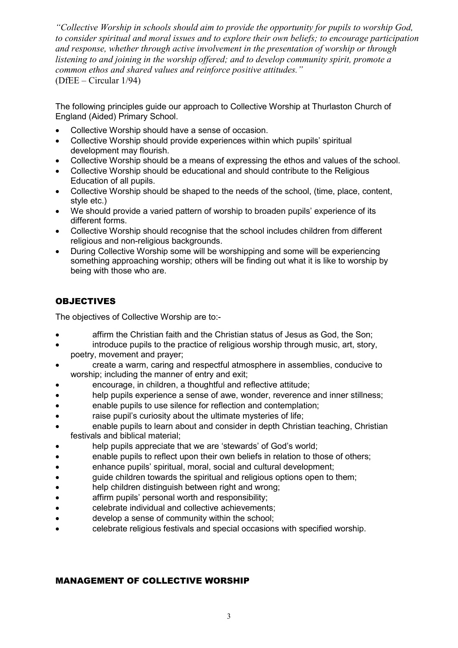*"Collective Worship in schools should aim to provide the opportunity for pupils to worship God, to consider spiritual and moral issues and to explore their own beliefs; to encourage participation and response, whether through active involvement in the presentation of worship or through listening to and joining in the worship offered; and to develop community spirit, promote a common ethos and shared values and reinforce positive attitudes."* (DfEE – Circular 1/94)

The following principles guide our approach to Collective Worship at Thurlaston Church of England (Aided) Primary School.

- Collective Worship should have a sense of occasion.
- Collective Worship should provide experiences within which pupils' spiritual development may flourish.
- Collective Worship should be a means of expressing the ethos and values of the school.
- Collective Worship should be educational and should contribute to the Religious Education of all pupils.
- Collective Worship should be shaped to the needs of the school, (time, place, content, style etc.)
- We should provide a varied pattern of worship to broaden pupils' experience of its different forms.
- Collective Worship should recognise that the school includes children from different religious and non-religious backgrounds.
- During Collective Worship some will be worshipping and some will be experiencing something approaching worship; others will be finding out what it is like to worship by being with those who are.

# OBJECTIVES

The objectives of Collective Worship are to:-

- **affirm the Christian faith and the Christian status of Jesus as God, the Son:**
- introduce pupils to the practice of religious worship through music, art, story, poetry, movement and prayer;
- create a warm, caring and respectful atmosphere in assemblies, conducive to worship; including the manner of entry and exit;
- encourage, in children, a thoughtful and reflective attitude;
- help pupils experience a sense of awe, wonder, reverence and inner stillness;
- enable pupils to use silence for reflection and contemplation;
- raise pupil's curiosity about the ultimate mysteries of life;
- enable pupils to learn about and consider in depth Christian teaching, Christian festivals and biblical material;
- help pupils appreciate that we are 'stewards' of God's world:
- enable pupils to reflect upon their own beliefs in relation to those of others;
- enhance pupils' spiritual, moral, social and cultural development;
- guide children towards the spiritual and religious options open to them:
- help children distinguish between right and wrong;
- affirm pupils' personal worth and responsibility;
- celebrate individual and collective achievements;
- develop a sense of community within the school;
- celebrate religious festivals and special occasions with specified worship.

# MANAGEMENT OF COLLECTIVE WORSHIP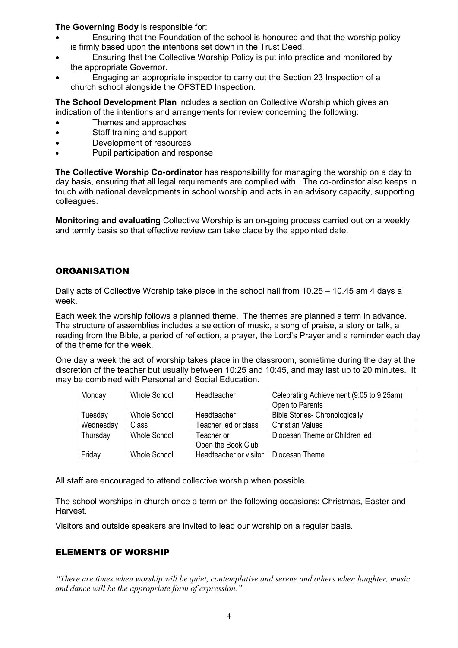## **The Governing Body** is responsible for:

- Ensuring that the Foundation of the school is honoured and that the worship policy is firmly based upon the intentions set down in the Trust Deed.
- Ensuring that the Collective Worship Policy is put into practice and monitored by the appropriate Governor.
- Engaging an appropriate inspector to carry out the Section 23 Inspection of a church school alongside the OFSTED Inspection.

**The School Development Plan** includes a section on Collective Worship which gives an indication of the intentions and arrangements for review concerning the following:

- Themes and approaches
- Staff training and support
- Development of resources
- Pupil participation and response

**The Collective Worship Co-ordinator** has responsibility for managing the worship on a day to day basis, ensuring that all legal requirements are complied with. The co-ordinator also keeps in touch with national developments in school worship and acts in an advisory capacity, supporting colleagues.

**Monitoring and evaluating** Collective Worship is an on-going process carried out on a weekly and termly basis so that effective review can take place by the appointed date.

# **ORGANISATION**

Daily acts of Collective Worship take place in the school hall from 10.25 – 10.45 am 4 days a week.

Each week the worship follows a planned theme. The themes are planned a term in advance. The structure of assemblies includes a selection of music, a song of praise, a story or talk, a reading from the Bible, a period of reflection, a prayer, the Lord's Prayer and a reminder each day of the theme for the week.

One day a week the act of worship takes place in the classroom, sometime during the day at the discretion of the teacher but usually between 10:25 and 10:45, and may last up to 20 minutes. It may be combined with Personal and Social Education.

| Monday    | Whole School | Headteacher            | Celebrating Achievement (9:05 to 9:25am) |
|-----------|--------------|------------------------|------------------------------------------|
|           |              |                        | Open to Parents                          |
| Tuesday   | Whole School | Headteacher            | <b>Bible Stories- Chronologically</b>    |
| Wednesday | Class        | Teacher led or class   | <b>Christian Values</b>                  |
| Thursday  | Whole School | Teacher or             | Diocesan Theme or Children led           |
|           |              | Open the Book Club     |                                          |
| Friday    | Whole School | Headteacher or visitor | Diocesan Theme                           |

All staff are encouraged to attend collective worship when possible.

The school worships in church once a term on the following occasions: Christmas, Easter and Harvest.

Visitors and outside speakers are invited to lead our worship on a regular basis.

# ELEMENTS OF WORSHIP

*"There are times when worship will be quiet, contemplative and serene and others when laughter, music and dance will be the appropriate form of expression."*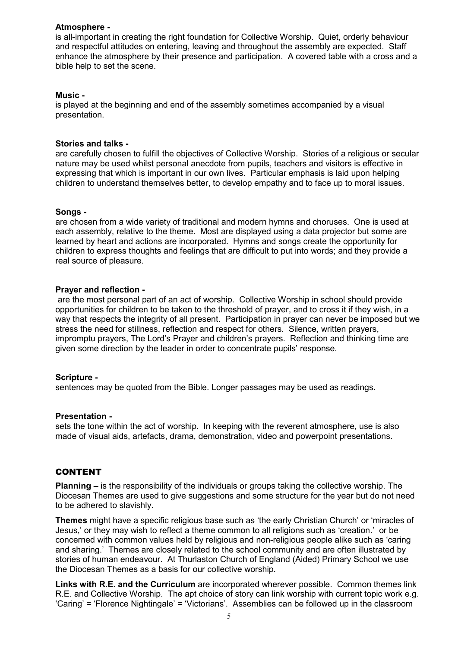#### **Atmosphere -**

is all-important in creating the right foundation for Collective Worship. Quiet, orderly behaviour and respectful attitudes on entering, leaving and throughout the assembly are expected. Staff enhance the atmosphere by their presence and participation. A covered table with a cross and a bible help to set the scene.

#### **Music -**

is played at the beginning and end of the assembly sometimes accompanied by a visual presentation.

#### **Stories and talks -**

are carefully chosen to fulfill the objectives of Collective Worship. Stories of a religious or secular nature may be used whilst personal anecdote from pupils, teachers and visitors is effective in expressing that which is important in our own lives. Particular emphasis is laid upon helping children to understand themselves better, to develop empathy and to face up to moral issues.

#### **Songs -**

are chosen from a wide variety of traditional and modern hymns and choruses. One is used at each assembly, relative to the theme. Most are displayed using a data projector but some are learned by heart and actions are incorporated. Hymns and songs create the opportunity for children to express thoughts and feelings that are difficult to put into words; and they provide a real source of pleasure.

#### **Prayer and reflection -**

are the most personal part of an act of worship. Collective Worship in school should provide opportunities for children to be taken to the threshold of prayer, and to cross it if they wish, in a way that respects the integrity of all present. Participation in prayer can never be imposed but we stress the need for stillness, reflection and respect for others. Silence, written prayers, impromptu prayers, The Lord's Prayer and children's prayers. Reflection and thinking time are given some direction by the leader in order to concentrate pupils' response.

#### **Scripture -**

sentences may be quoted from the Bible. Longer passages may be used as readings.

#### **Presentation -**

sets the tone within the act of worship. In keeping with the reverent atmosphere, use is also made of visual aids, artefacts, drama, demonstration, video and powerpoint presentations.

#### CONTENT

**Planning –** is the responsibility of the individuals or groups taking the collective worship. The Diocesan Themes are used to give suggestions and some structure for the year but do not need to be adhered to slavishly.

**Themes** might have a specific religious base such as 'the early Christian Church' or 'miracles of Jesus,' or they may wish to reflect a theme common to all religions such as 'creation.' or be concerned with common values held by religious and non-religious people alike such as 'caring and sharing.' Themes are closely related to the school community and are often illustrated by stories of human endeavour. At Thurlaston Church of England (Aided) Primary School we use the Diocesan Themes as a basis for our collective worship.

**Links with R.E. and the Curriculum** are incorporated wherever possible. Common themes link R.E. and Collective Worship. The apt choice of story can link worship with current topic work e.g. 'Caring' = 'Florence Nightingale' = 'Victorians'. Assemblies can be followed up in the classroom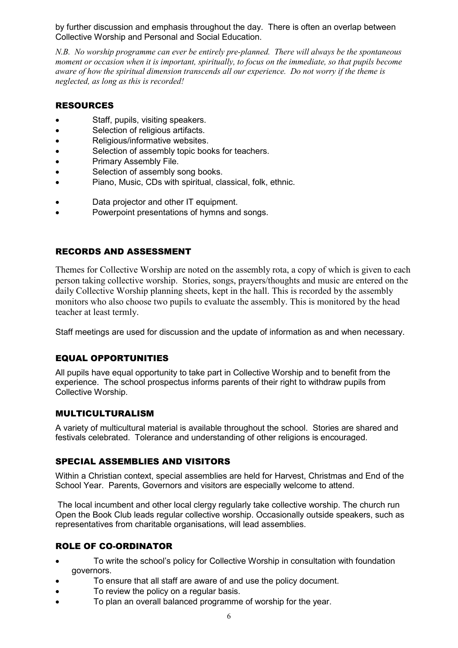by further discussion and emphasis throughout the day. There is often an overlap between Collective Worship and Personal and Social Education.

*N.B. No worship programme can ever be entirely pre-planned. There will always be the spontaneous moment or occasion when it is important, spiritually, to focus on the immediate, so that pupils become aware of how the spiritual dimension transcends all our experience. Do not worry if the theme is neglected, as long as this is recorded!* 

# RESOURCES

- Staff, pupils, visiting speakers.
- Selection of religious artifacts.
- Religious/informative websites.
- Selection of assembly topic books for teachers.
- Primary Assembly File.
- Selection of assembly song books.
- Piano, Music, CDs with spiritual, classical, folk, ethnic.
- Data projector and other IT equipment.
- Powerpoint presentations of hymns and songs.

## RECORDS AND ASSESSMENT

Themes for Collective Worship are noted on the assembly rota, a copy of which is given to each person taking collective worship. Stories, songs, prayers/thoughts and music are entered on the daily Collective Worship planning sheets, kept in the hall. This is recorded by the assembly monitors who also choose two pupils to evaluate the assembly. This is monitored by the head teacher at least termly.

Staff meetings are used for discussion and the update of information as and when necessary.

# EQUAL OPPORTUNITIES

All pupils have equal opportunity to take part in Collective Worship and to benefit from the experience. The school prospectus informs parents of their right to withdraw pupils from Collective Worship.

### MULTICULTURALISM

A variety of multicultural material is available throughout the school. Stories are shared and festivals celebrated. Tolerance and understanding of other religions is encouraged.

# SPECIAL ASSEMBLIES AND VISITORS

Within a Christian context, special assemblies are held for Harvest, Christmas and End of the School Year. Parents, Governors and visitors are especially welcome to attend.

 The local incumbent and other local clergy regularly take collective worship. The church run Open the Book Club leads regular collective worship. Occasionally outside speakers, such as representatives from charitable organisations, will lead assemblies.

# ROLE OF CO-ORDINATOR

- To write the school's policy for Collective Worship in consultation with foundation governors.
- To ensure that all staff are aware of and use the policy document.
- To review the policy on a regular basis.
- To plan an overall balanced programme of worship for the year.